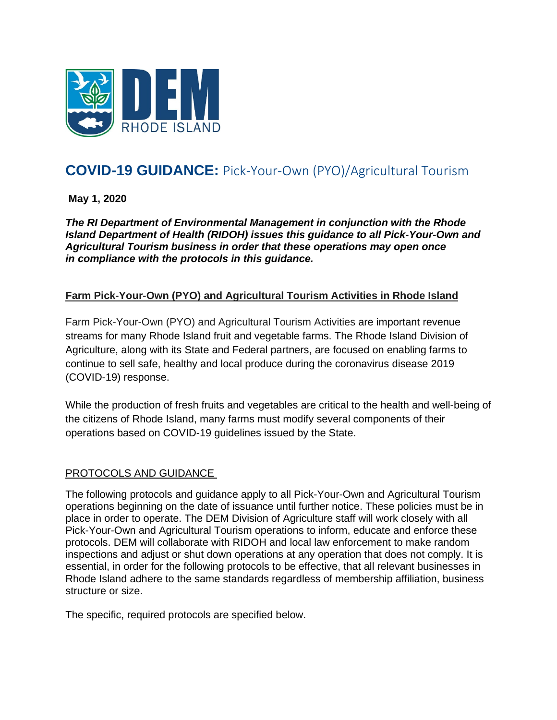

# **COVID-19 GUIDANCE:** Pick-Your-Own (PYO)/Agricultural Tourism

**May 1, 2020**

*The RI Department of Environmental Management in conjunction with the Rhode Island Department of Health (RIDOH) issues this guidance to all Pick-Your-Own and Agricultural Tourism business in order that these operations may open once in compliance with the protocols in this guidance.*

#### **Farm Pick-Your-Own (PYO) and Agricultural Tourism Activities in Rhode Island**

Farm Pick-Your-Own (PYO) and Agricultural Tourism Activities are important revenue streams for many Rhode Island fruit and vegetable farms. The Rhode Island Division of Agriculture, along with its State and Federal partners, are focused on enabling farms to continue to sell safe, healthy and local produce during the coronavirus disease 2019 (COVID-19) response.

While the production of fresh fruits and vegetables are critical to the health and well-being of the citizens of Rhode Island, many farms must modify several components of their operations based on COVID-19 guidelines issued by the State.

#### PROTOCOLS AND GUIDANCE

The following protocols and guidance apply to all Pick-Your-Own and Agricultural Tourism operations beginning on the date of issuance until further notice. These policies must be in place in order to operate. The DEM Division of Agriculture staff will work closely with all Pick-Your-Own and Agricultural Tourism operations to inform, educate and enforce these protocols. DEM will collaborate with RIDOH and local law enforcement to make random inspections and adjust or shut down operations at any operation that does not comply. It is essential, in order for the following protocols to be effective, that all relevant businesses in Rhode Island adhere to the same standards regardless of membership affiliation, business structure or size.

The specific, required protocols are specified below.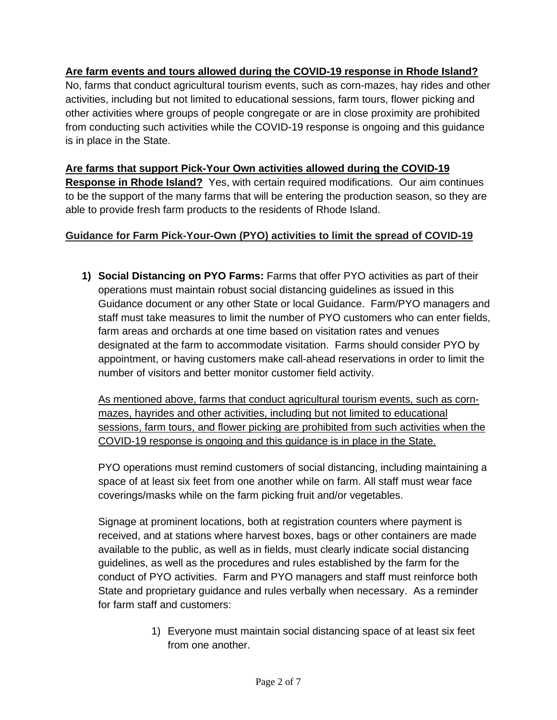#### **Are farm events and tours allowed during the COVID-19 response in Rhode Island?**

No, farms that conduct agricultural tourism events, such as corn-mazes, hay rides and other activities, including but not limited to educational sessions, farm tours, flower picking and other activities where groups of people congregate or are in close proximity are prohibited from conducting such activities while the COVID-19 response is ongoing and this guidance is in place in the State.

**Are farms that support Pick-Your Own activities allowed during the COVID-19 Response in Rhode Island?** Yes, with certain required modifications. Our aim continues to be the support of the many farms that will be entering the production season, so they are able to provide fresh farm products to the residents of Rhode Island.

#### **Guidance for Farm Pick-Your-Own (PYO) activities to limit the spread of COVID-19**

**1) Social Distancing on PYO Farms:** Farms that offer PYO activities as part of their operations must maintain robust social distancing guidelines as issued in this Guidance document or any other State or local Guidance. Farm/PYO managers and staff must take measures to limit the number of PYO customers who can enter fields, farm areas and orchards at one time based on visitation rates and venues designated at the farm to accommodate visitation. Farms should consider PYO by appointment, or having customers make call-ahead reservations in order to limit the number of visitors and better monitor customer field activity.

As mentioned above, farms that conduct agricultural tourism events, such as cornmazes, hayrides and other activities, including but not limited to educational sessions, farm tours, and flower picking are prohibited from such activities when the COVID-19 response is ongoing and this guidance is in place in the State.

PYO operations must remind customers of social distancing, including maintaining a space of at least six feet from one another while on farm. All staff must wear face coverings/masks while on the farm picking fruit and/or vegetables.

Signage at prominent locations, both at registration counters where payment is received, and at stations where harvest boxes, bags or other containers are made available to the public, as well as in fields, must clearly indicate social distancing guidelines, as well as the procedures and rules established by the farm for the conduct of PYO activities. Farm and PYO managers and staff must reinforce both State and proprietary guidance and rules verbally when necessary. As a reminder for farm staff and customers:

> 1) Everyone must maintain social distancing space of at least six feet from one another.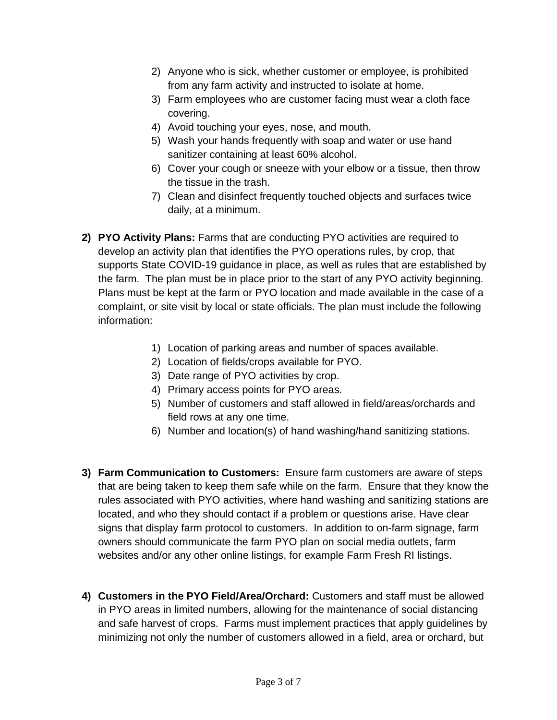- 2) Anyone who is sick, whether customer or employee, is prohibited from any farm activity and instructed to isolate at home.
- 3) Farm employees who are customer facing must wear a cloth face covering.
- 4) Avoid touching your eyes, nose, and mouth.
- 5) Wash your hands frequently with soap and water or use hand sanitizer containing at least 60% alcohol.
- 6) Cover your cough or sneeze with your elbow or a tissue, then throw the tissue in the trash.
- 7) Clean and disinfect frequently touched objects and surfaces twice daily, at a minimum.
- **2) PYO Activity Plans:** Farms that are conducting PYO activities are required to develop an activity plan that identifies the PYO operations rules, by crop, that supports State COVID-19 guidance in place, as well as rules that are established by the farm. The plan must be in place prior to the start of any PYO activity beginning. Plans must be kept at the farm or PYO location and made available in the case of a complaint, or site visit by local or state officials. The plan must include the following information:
	- 1) Location of parking areas and number of spaces available.
	- 2) Location of fields/crops available for PYO.
	- 3) Date range of PYO activities by crop.
	- 4) Primary access points for PYO areas.
	- 5) Number of customers and staff allowed in field/areas/orchards and field rows at any one time.
	- 6) Number and location(s) of hand washing/hand sanitizing stations.
- **3) Farm Communication to Customers:** Ensure farm customers are aware of steps that are being taken to keep them safe while on the farm. Ensure that they know the rules associated with PYO activities, where hand washing and sanitizing stations are located, and who they should contact if a problem or questions arise. Have clear signs that display farm protocol to customers. In addition to on-farm signage, farm owners should communicate the farm PYO plan on social media outlets, farm websites and/or any other online listings, for example Farm Fresh RI listings.
- **4) Customers in the PYO Field/Area/Orchard:** Customers and staff must be allowed in PYO areas in limited numbers, allowing for the maintenance of social distancing and safe harvest of crops. Farms must implement practices that apply guidelines by minimizing not only the number of customers allowed in a field, area or orchard, but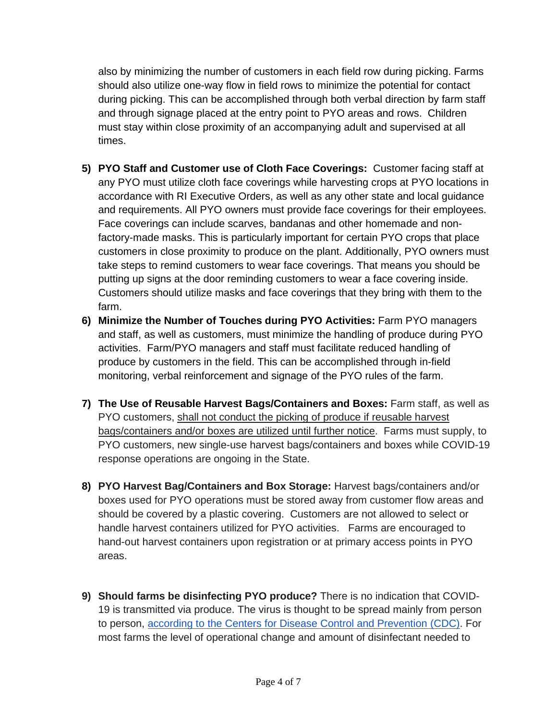also by minimizing the number of customers in each field row during picking. Farms should also utilize one-way flow in field rows to minimize the potential for contact during picking. This can be accomplished through both verbal direction by farm staff and through signage placed at the entry point to PYO areas and rows. Children must stay within close proximity of an accompanying adult and supervised at all times.

- **5) PYO Staff and Customer use of Cloth Face Coverings:** Customer facing staff at any PYO must utilize cloth face coverings while harvesting crops at PYO locations in accordance with RI Executive Orders, as well as any other state and local guidance and requirements. All PYO owners must provide face coverings for their employees. Face coverings can include scarves, bandanas and other homemade and nonfactory-made masks. This is particularly important for certain PYO crops that place customers in close proximity to produce on the plant. Additionally, PYO owners must take steps to remind customers to wear face coverings. That means you should be putting up signs at the door reminding customers to wear a face covering inside. Customers should utilize masks and face coverings that they bring with them to the farm.
- **6) Minimize the Number of Touches during PYO Activities:** Farm PYO managers and staff, as well as customers, must minimize the handling of produce during PYO activities. Farm/PYO managers and staff must facilitate reduced handling of produce by customers in the field. This can be accomplished through in-field monitoring, verbal reinforcement and signage of the PYO rules of the farm.
- **7) The Use of Reusable Harvest Bags/Containers and Boxes:** Farm staff, as well as PYO customers, shall not conduct the picking of produce if reusable harvest bags/containers and/or boxes are utilized until further notice. Farms must supply, to PYO customers, new single-use harvest bags/containers and boxes while COVID-19 response operations are ongoing in the State.
- **8) PYO Harvest Bag/Containers and Box Storage:** Harvest bags/containers and/or boxes used for PYO operations must be stored away from customer flow areas and should be covered by a plastic covering. Customers are not allowed to select or handle harvest containers utilized for PYO activities. Farms are encouraged to hand-out harvest containers upon registration or at primary access points in PYO areas.
- **9) Should farms be disinfecting PYO produce?** There is no indication that COVID-19 is transmitted via produce. The virus is thought to be spread mainly from person to person, [according to the Centers for Disease Control and Prevention \(CDC\)](https://urldefense.proofpoint.com/v2/url?u=https-3A__www.cdc.gov_coronavirus_2019-2Dncov_prepare_prevention.html&d=DwMFAw&c=lDF7oMaPKXpkYvev9V-fVahWL0QWnGCCAfCDz1Bns_w&r=eNHhKpUTWno0OCCO36klzi-gCZhKXhiakt-MJ9iZ2Do&m=-1p29xG9fkFSNHCQUxKQla0TES_6t6JaosXnfRZGUUA&s=JNDMA8B8uyIp3Wyhk0ZKbu0ZpeUuPv_uOhLaHGzmCW4&e=). For most farms the level of operational change and amount of disinfectant needed to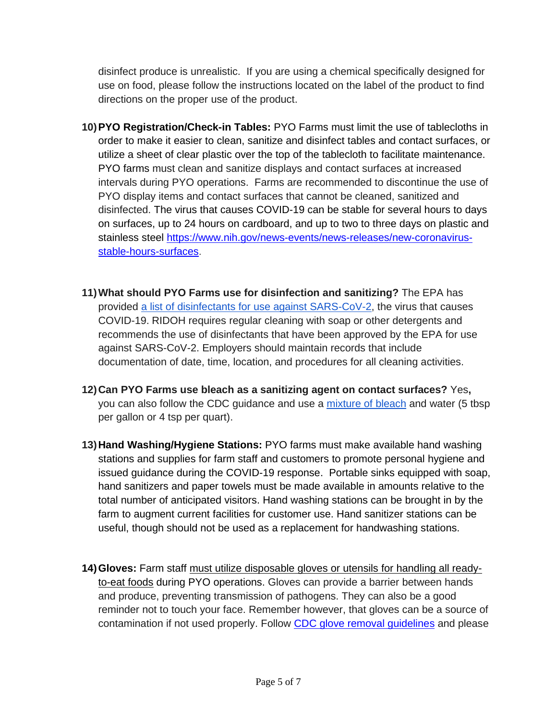disinfect produce is unrealistic. If you are using a chemical specifically designed for use on food, please follow the instructions located on the label of the product to find directions on the proper use of the product.

- **10)PYO Registration/Check-in Tables:** PYO Farms must limit the use of tablecloths in order to make it easier to clean, sanitize and disinfect tables and contact surfaces, or utilize a sheet of clear plastic over the top of the tablecloth to facilitate maintenance. PYO farms must clean and sanitize displays and contact surfaces at increased intervals during PYO operations. Farms are recommended to discontinue the use of PYO display items and contact surfaces that cannot be cleaned, sanitized and disinfected. The virus that causes COVID-19 can be stable for several hours to days on surfaces, up to 24 hours on cardboard, and up to two to three days on plastic and stainless steel [https://www.nih.gov/news-events/news-releases/new-coronavirus](https://www.nih.gov/news-events/news-releases/new-coronavirus-stable-hours-surfaces)[stable-hours-surfaces.](https://www.nih.gov/news-events/news-releases/new-coronavirus-stable-hours-surfaces)
- **11)What should PYO Farms use for disinfection and sanitizing?** The EPA has provided [a list of disinfectants for use against SARS-CoV-2,](https://urldefense.proofpoint.com/v2/url?u=https-3A__www.epa.gov_pesticide-2Dregistration_list-2Dn-2Ddisinfectants-2Duse-2Dagainst-2Dsars-2Dcov-2D2&d=DwMFAw&c=lDF7oMaPKXpkYvev9V-fVahWL0QWnGCCAfCDz1Bns_w&r=eNHhKpUTWno0OCCO36klzi-gCZhKXhiakt-MJ9iZ2Do&m=-1p29xG9fkFSNHCQUxKQla0TES_6t6JaosXnfRZGUUA&s=-5Nvi9ToYdFBQ08U9UZxo9eTlA7nIAQNgOyuxgf8z2M&e=) the virus that causes COVID-19. RIDOH requires regular cleaning with soap or other detergents and recommends the use of disinfectants that have been approved by the EPA for use against SARS-CoV-2. Employers should maintain records that include documentation of date, time, location, and procedures for all cleaning activities.
- **12)Can PYO Farms use bleach as a sanitizing agent on contact surfaces?** Yes**,**  you can also follow the CDC guidance and use a [mixture of bleach](https://urldefense.proofpoint.com/v2/url?u=https-3A__www.cdc.gov_coronavirus_2019-2Dncov_prepare_cleaning-2Ddisinfection.html-3FCDC-5FAA-5FrefVal-3Dhttps-253A-252F-252Fwww.cdc.gov-252Fcoronavirus-252F2019-2Dncov-252Fcommunity-252Fhome-252Fcleaning-2Ddisinfection.html&d=DwMFAw&c=lDF7oMaPKXpkYvev9V-fVahWL0QWnGCCAfCDz1Bns_w&r=eNHhKpUTWno0OCCO36klzi-gCZhKXhiakt-MJ9iZ2Do&m=-1p29xG9fkFSNHCQUxKQla0TES_6t6JaosXnfRZGUUA&s=ZRqNw2R3pvUvnhoSAMjApbQshGvECptZY1nQ0N1G-dw&e=) and water (5 tbsp per gallon or 4 tsp per quart).
- **13)Hand Washing/Hygiene Stations:** PYO farms must make available hand washing stations and supplies for farm staff and customers to promote personal hygiene and issued guidance during the COVID-19 response. Portable sinks equipped with soap, hand sanitizers and paper towels must be made available in amounts relative to the total number of anticipated visitors. Hand washing stations can be brought in by the farm to augment current facilities for customer use. Hand sanitizer stations can be useful, though should not be used as a replacement for handwashing stations.
- **14)Gloves:** Farm staff must utilize disposable gloves or utensils for handling all readyto-eat foods during PYO operations. Gloves can provide a barrier between hands and produce, preventing transmission of pathogens. They can also be a good reminder not to touch your face. Remember however, that gloves can be a source of contamination if not used properly. Follow CDC glove removal quidelines and please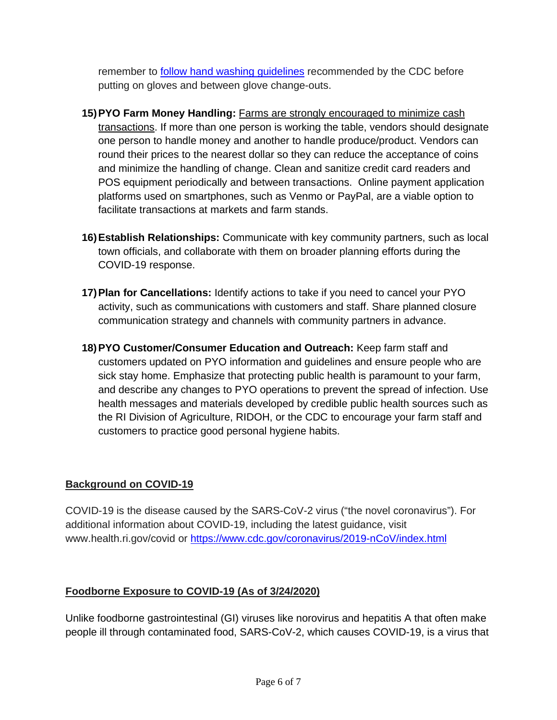remember to [follow hand washing guidelines](https://www.cdc.gov/handwashing/when-how-handwashing.html) recommended by the CDC before putting on gloves and between glove change-outs.

- **15)PYO Farm Money Handling:** Farms are strongly encouraged to minimize cash transactions. If more than one person is working the table, vendors should designate one person to handle money and another to handle produce/product. Vendors can round their prices to the nearest dollar so they can reduce the acceptance of coins and minimize the handling of change. Clean and sanitize credit card readers and POS equipment periodically and between transactions. Online payment application platforms used on smartphones, such as Venmo or PayPal, are a viable option to facilitate transactions at markets and farm stands.
- **16)Establish Relationships:** Communicate with key community partners, such as local town officials, and collaborate with them on broader planning efforts during the COVID-19 response.
- **17)Plan for Cancellations:** Identify actions to take if you need to cancel your PYO activity, such as communications with customers and staff. Share planned closure communication strategy and channels with community partners in advance.
- **18)PYO Customer/Consumer Education and Outreach:** Keep farm staff and customers updated on PYO information and guidelines and ensure people who are sick stay home. Emphasize that protecting public health is paramount to your farm, and describe any changes to PYO operations to prevent the spread of infection. Use health messages and materials developed by credible public health sources such as the RI Division of Agriculture, RIDOH, or the CDC to encourage your farm staff and customers to practice good personal hygiene habits.

### **Background on COVID-19**

COVID-19 is the disease caused by the SARS-CoV-2 virus ("the novel coronavirus"). For additional information about COVID-19, including the latest guidance, visit www.health.ri.gov/covid or<https://www.cdc.gov/coronavirus/2019-nCoV/index.html>

## **Foodborne Exposure to COVID-19 (As of 3/24/2020)**

Unlike foodborne gastrointestinal (GI) viruses like norovirus and hepatitis A that often make people ill through contaminated food, SARS-CoV-2, which causes COVID-19, is a virus that